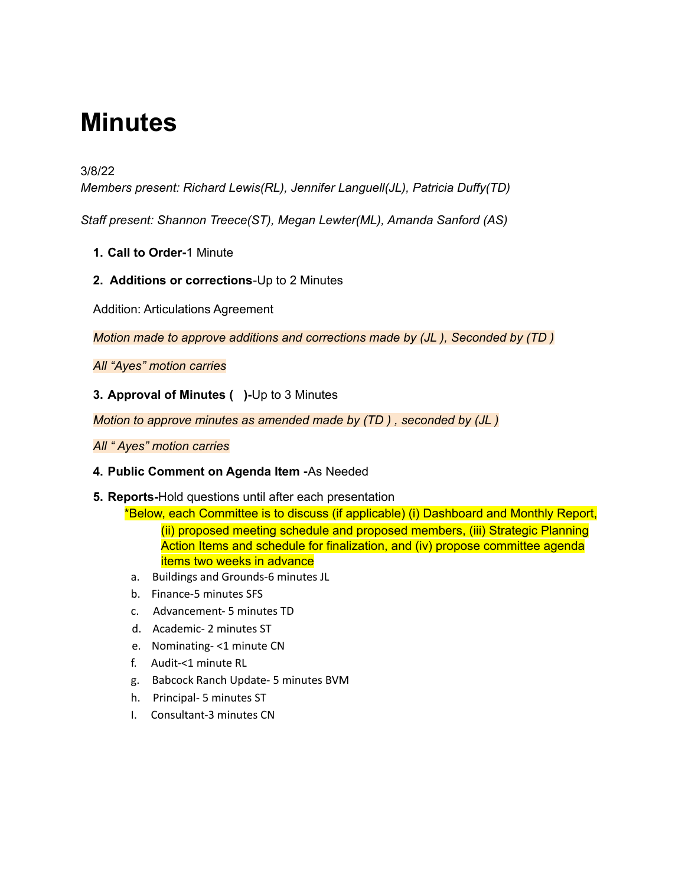# **Minutes**

## 3/8/22

*Members present: Richard Lewis(RL), Jennifer Languell(JL), Patricia Duffy(TD)*

*Staff present: Shannon Treece(ST), Megan Lewter(ML), Amanda Sanford (AS)*

- **1. Call to Order-**1 Minute
- **2. Additions or corrections**-Up to 2 Minutes

Addition: Articulations Agreement

*Motion made to approve additions and corrections made by (JL ), Seconded by (TD )*

*All "Ayes" motion carries*

## **3. Approval of Minutes ( )-**Up to 3 Minutes

*Motion to approve minutes as amended made by (TD ) , seconded by (JL )*

#### *All " Ayes" motion carries*

## **4. Public Comment on Agenda Item -**As Needed

- **5. Reports-**Hold questions until after each presentation
	- \*Below, each Committee is to discuss (if applicable) (i) Dashboard and Monthly Report, (ii) proposed meeting schedule and proposed members, (iii) Strategic Planning Action Items and schedule for finalization, and (iv) propose committee agenda items two weeks in advance
	- a. Buildings and Grounds-6 minutes JL
	- b. Finance-5 minutes SFS
	- c. Advancement- 5 minutes TD
	- d. Academic- 2 minutes ST
	- e. Nominating- <1 minute CN
	- f. Audit-<1 minute RL
	- g. Babcock Ranch Update- 5 minutes BVM
	- h. Principal- 5 minutes ST
	- I. Consultant-3 minutes CN